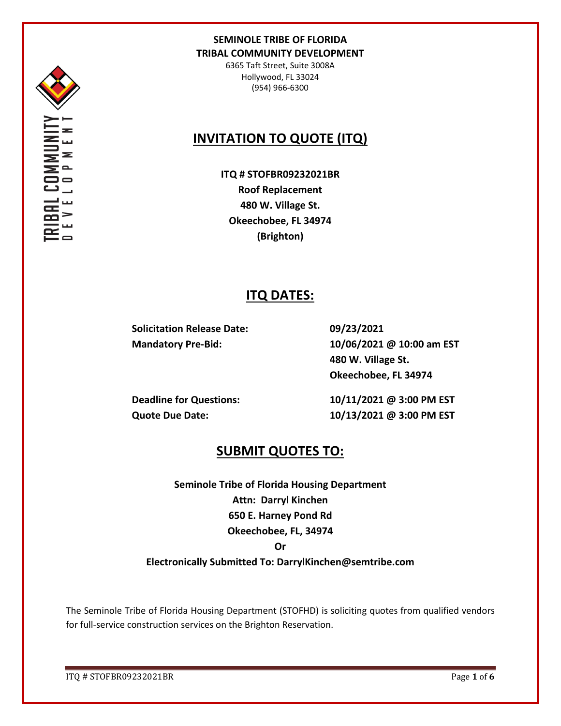

6365 Taft Street, Suite 3008A Hollywood, FL 33024 (954) 966-6300

# **INVITATION TO QUOTE (ITQ)**

**ITQ # STOFBR09232021BR Roof Replacement 480 W. Village St. Okeechobee, FL 34974 (Brighton)**

## **ITQ DATES:**

**Solicitation Release Date: 09/23/2021**

**Mandatory Pre-Bid: 10/06/2021 @ 10:00 am EST 480 W. Village St. Okeechobee, FL 34974**

**Deadline for Questions: 10/11/2021 @ 3:00 PM EST Quote Due Date: 10/13/2021 @ 3:00 PM EST**

# **SUBMIT QUOTES TO:**

**Seminole Tribe of Florida Housing Department Attn: Darryl Kinchen 650 E. Harney Pond Rd Okeechobee, FL, 34974 Or** 

**Electronically Submitted To: DarrylKinchen@semtribe.com**

The Seminole Tribe of Florida Housing Department (STOFHD) is soliciting quotes from qualified vendors for full-service construction services on the Brighton Reservation.

ITQ # STOFBR09232021BR Page **1** of **6**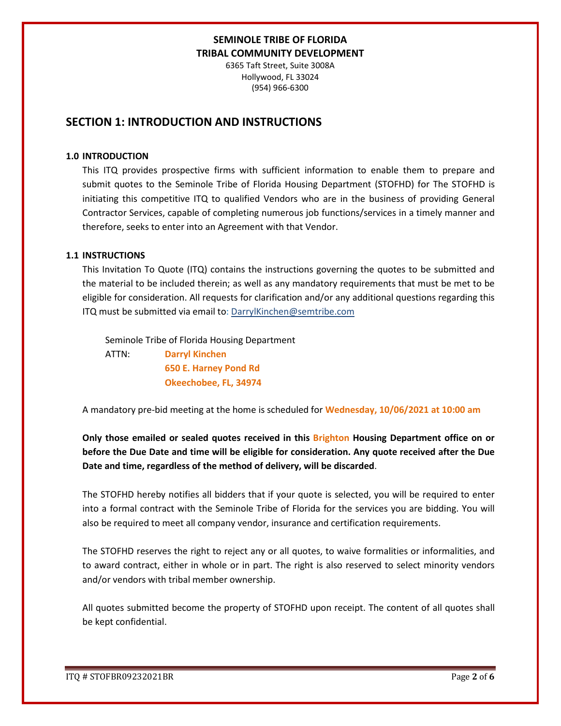6365 Taft Street, Suite 3008A Hollywood, FL 33024 (954) 966-6300

## **SECTION 1: INTRODUCTION AND INSTRUCTIONS**

#### **1.0 INTRODUCTION**

This ITQ provides prospective firms with sufficient information to enable them to prepare and submit quotes to the Seminole Tribe of Florida Housing Department (STOFHD) for The STOFHD is initiating this competitive ITQ to qualified Vendors who are in the business of providing General Contractor Services, capable of completing numerous job functions/services in a timely manner and therefore, seeks to enter into an Agreement with that Vendor.

#### **1.1 INSTRUCTIONS**

This Invitation To Quote (ITQ) contains the instructions governing the quotes to be submitted and the material to be included therein; as well as any mandatory requirements that must be met to be eligible for consideration. All requests for clarification and/or any additional questions regarding this ITQ must be submitted via email to: DarrylKinchen@semtribe.com

 Seminole Tribe of Florida Housing Department ATTN: **Darryl Kinchen**

 **650 E. Harney Pond Rd Okeechobee, FL, 34974**

A mandatory pre-bid meeting at the home is scheduled for **Wednesday, 10/06/2021 at 10:00 am**

**Only those emailed or sealed quotes received in this Brighton Housing Department office on or before the Due Date and time will be eligible for consideration. Any quote received after the Due Date and time, regardless of the method of delivery, will be discarded**.

The STOFHD hereby notifies all bidders that if your quote is selected, you will be required to enter into a formal contract with the Seminole Tribe of Florida for the services you are bidding. You will also be required to meet all company vendor, insurance and certification requirements.

The STOFHD reserves the right to reject any or all quotes, to waive formalities or informalities, and to award contract, either in whole or in part. The right is also reserved to select minority vendors and/or vendors with tribal member ownership.

All quotes submitted become the property of STOFHD upon receipt. The content of all quotes shall be kept confidential.

ITQ # STOFBR09232021BR Page **2** of **6**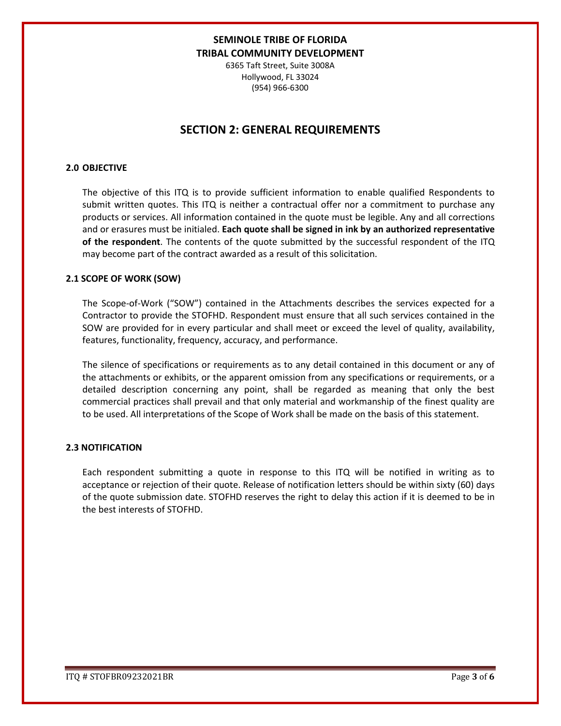6365 Taft Street, Suite 3008A Hollywood, FL 33024 (954) 966-6300

## **SECTION 2: GENERAL REQUIREMENTS**

#### **2.0 OBJECTIVE**

The objective of this ITQ is to provide sufficient information to enable qualified Respondents to submit written quotes. This ITQ is neither a contractual offer nor a commitment to purchase any products or services. All information contained in the quote must be legible. Any and all corrections and or erasures must be initialed. **Each quote shall be signed in ink by an authorized representative of the respondent**. The contents of the quote submitted by the successful respondent of the ITQ may become part of the contract awarded as a result of this solicitation.

#### **2.1 SCOPE OF WORK (SOW)**

The Scope-of-Work ("SOW") contained in the Attachments describes the services expected for a Contractor to provide the STOFHD. Respondent must ensure that all such services contained in the SOW are provided for in every particular and shall meet or exceed the level of quality, availability, features, functionality, frequency, accuracy, and performance.

The silence of specifications or requirements as to any detail contained in this document or any of the attachments or exhibits, or the apparent omission from any specifications or requirements, or a detailed description concerning any point, shall be regarded as meaning that only the best commercial practices shall prevail and that only material and workmanship of the finest quality are to be used. All interpretations of the Scope of Work shall be made on the basis of this statement.

#### **2.3 NOTIFICATION**

Each respondent submitting a quote in response to this ITQ will be notified in writing as to acceptance or rejection of their quote. Release of notification letters should be within sixty (60) days of the quote submission date. STOFHD reserves the right to delay this action if it is deemed to be in the best interests of STOFHD.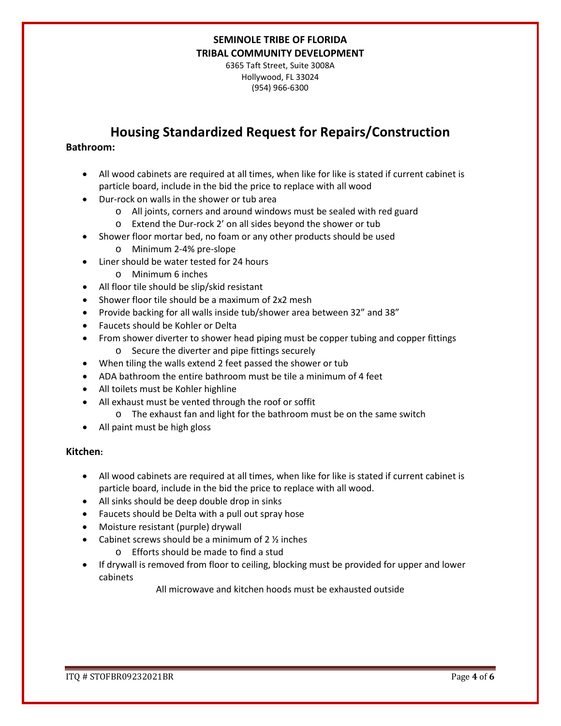6365 Taft Street, Suite 3008A Hollywood, FL 33024 (954) 966-6300

# **Housing Standardized Request for Repairs/Construction**

### **Bathroom:**

- All wood cabinets are required at all times, when like for like is stated if current cabinet is particle board, include in the bid the price to replace with all wood
- Dur-rock on walls in the shower or tub area
	- o All joints, corners and around windows must be sealed with red guard
	- o Extend the Dur-rock 2' on all sides beyond the shower or tub
- Shower floor mortar bed, no foam or any other products should be used
	- o Minimum 2-4% pre-slope
- Liner should be water tested for 24 hours
	- o Minimum 6 inches
- All floor tile should be slip/skid resistant
- Shower floor tile should be a maximum of 2x2 mesh
- Provide backing for all walls inside tub/shower area between 32" and 38"
- Faucets should be Kohler or Delta
- From shower diverter to shower head piping must be copper tubing and copper fittings o Secure the diverter and pipe fittings securely
- When tiling the walls extend 2 feet passed the shower or tub
- ADA bathroom the entire bathroom must be tile a minimum of 4 feet
- All toilets must be Kohler highline
- All exhaust must be vented through the roof or soffit
	- o The exhaust fan and light for the bathroom must be on the same switch
- All paint must be high gloss

### **Kitchen:**

- All wood cabinets are required at all times, when like for like is stated if current cabinet is particle board, include in the bid the price to replace with all wood.
- All sinks should be deep double drop in sinks
- Faucets should be Delta with a pull out spray hose
- Moisture resistant (purple) drywall
- Cabinet screws should be a minimum of  $2 \frac{1}{2}$  inches
	- o Efforts should be made to find a stud
- If drywall is removed from floor to ceiling, blocking must be provided for upper and lower cabinets

All microwave and kitchen hoods must be exhausted outside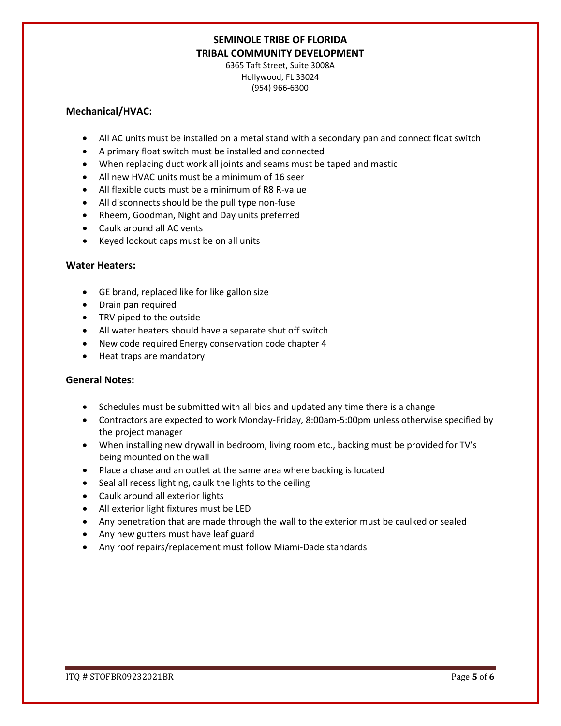6365 Taft Street, Suite 3008A Hollywood, FL 33024 (954) 966-6300

#### **Mechanical/HVAC:**

- All AC units must be installed on a metal stand with a secondary pan and connect float switch
- A primary float switch must be installed and connected
- When replacing duct work all joints and seams must be taped and mastic
- All new HVAC units must be a minimum of 16 seer
- All flexible ducts must be a minimum of R8 R-value
- All disconnects should be the pull type non-fuse
- Rheem, Goodman, Night and Day units preferred
- Caulk around all AC vents
- Keyed lockout caps must be on all units

### **Water Heaters:**

- GE brand, replaced like for like gallon size
- Drain pan required
- TRV piped to the outside
- All water heaters should have a separate shut off switch
- New code required Energy conservation code chapter 4
- Heat traps are mandatory

### **General Notes:**

- Schedules must be submitted with all bids and updated any time there is a change
- Contractors are expected to work Monday-Friday, 8:00am-5:00pm unless otherwise specified by the project manager
- When installing new drywall in bedroom, living room etc., backing must be provided for TV's being mounted on the wall
- Place a chase and an outlet at the same area where backing is located
- Seal all recess lighting, caulk the lights to the ceiling
- Caulk around all exterior lights
- All exterior light fixtures must be LED
- Any penetration that are made through the wall to the exterior must be caulked or sealed
- Any new gutters must have leaf guard
- Any roof repairs/replacement must follow Miami-Dade standards